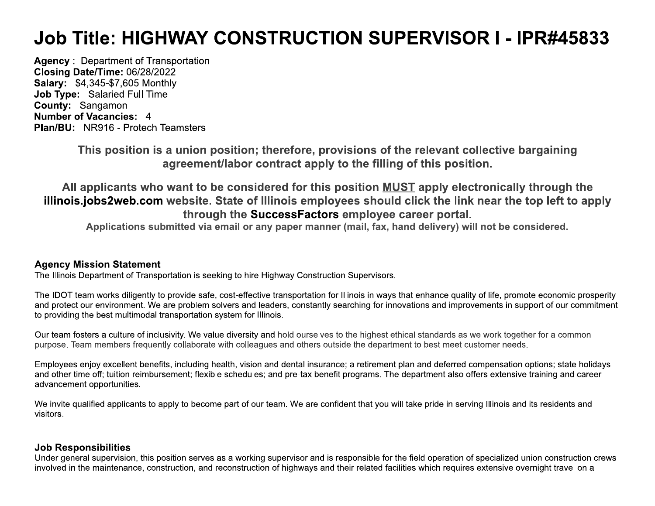# Job Title: HIGHWAY CONSTRUCTION SUPERVISOR I - IPR#45833

**Agency: Department of Transportation** Closing Date/Time: 06/28/2022 **Salary: \$4,345-\$7,605 Monthly** Job Type: Salaried Full Time County: Sangamon **Number of Vacancies: 4** Plan/BU: NR916 - Protech Teamsters

> This position is a union position; therefore, provisions of the relevant collective bargaining agreement/labor contract apply to the filling of this position.

All applicants who want to be considered for this position MUST apply electronically through the illinois.jobs2web.com website. State of Illinois employees should click the link near the top left to apply through the SuccessFactors employee career portal.

Applications submitted via email or any paper manner (mail, fax, hand delivery) will not be considered.

## **Agency Mission Statement**

The Illinois Department of Transportation is seeking to hire Highway Construction Supervisors.

The IDOT team works diligently to provide safe, cost-effective transportation for Illinois in ways that enhance quality of life, promote economic prosperity and protect our environment. We are problem solvers and leaders, constantly searching for innovations and improvements in support of our commitment to providing the best multimodal transportation system for Illinois.

Our team fosters a culture of inclusivity. We value diversity and hold ourselves to the highest ethical standards as we work together for a common purpose. Team members frequently collaborate with colleagues and others outside the department to best meet customer needs.

Employees enjoy excellent benefits, including health, vision and dental insurance; a retirement plan and deferred compensation options; state holidays and other time off; tuition reimbursement; flexible schedules; and pre-tax benefit programs. The department also offers extensive training and career advancement opportunities.

We invite qualified applicants to apply to become part of our team. We are confident that you will take pride in serving Illinois and its residents and visitors.

## **Job Responsibilities**

Under general supervision, this position serves as a working supervisor and is responsible for the field operation of specialized union construction crews involved in the maintenance, construction, and reconstruction of highways and their related facilities which requires extensive overnight travel on a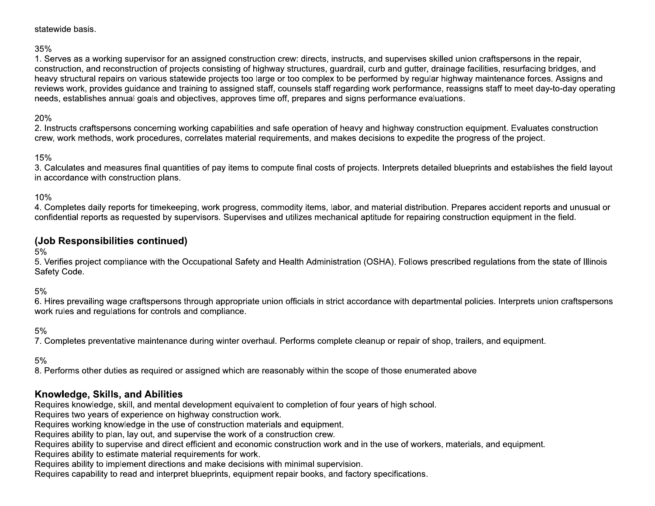#### statewide basis.

#### 35%

1. Serves as a working supervisor for an assigned construction crew: directs, instructs, and supervises skilled union craftspersons in the repair, construction, and reconstruction of projects consisting of highway structures, quardrail, curb and gutter, drainage facilities, resurfacing bridges, and heavy structural repairs on various statewide projects too large or too complex to be performed by regular highway maintenance forces. Assigns and reviews work, provides quidance and training to assigned staff, counsels staff regarding work performance, reassigns staff to meet day-to-day operating needs, establishes annual goals and objectives, approves time off, prepares and signs performance evaluations.

### 20%

2. Instructs craftspersons concerning working capabilities and safe operation of heavy and highway construction equipment. Evaluates construction crew, work methods, work procedures, correlates material requirements, and makes decisions to expedite the progress of the project.

#### 15%

3. Calculates and measures final quantities of pay items to compute final costs of projects. Interprets detailed blueprints and establishes the field layout in accordance with construction plans.

#### 10%

4. Completes daily reports for timekeeping, work progress, commodity items, labor, and material distribution. Prepares accident reports and unusual or confidential reports as requested by supervisors. Supervises and utilizes mechanical aptitude for repairing construction equipment in the field.

## (Job Responsibilities continued)

 $5%$ 

5. Verifies project compliance with the Occupational Safety and Health Administration (OSHA). Follows prescribed regulations from the state of Illinois Safety Code.

 $5%$ 

6. Hires prevailing wage craftspersons through appropriate union officials in strict accordance with departmental policies. Interprets union craftspersons work rules and regulations for controls and compliance.

#### $5%$

7. Completes preventative maintenance during winter overhaul. Performs complete cleanup or repair of shop, trailers, and equipment.

 $5%$ 

8. Performs other duties as required or assigned which are reasonably within the scope of those enumerated above

## Knowledge, Skills, and Abilities

Requires knowledge, skill, and mental development equivalent to completion of four years of high school.

Requires two years of experience on highway construction work.

Requires working knowledge in the use of construction materials and equipment.

Requires ability to plan, lay out, and supervise the work of a construction crew.

Requires ability to supervise and direct efficient and economic construction work and in the use of workers, materials, and equipment.

Requires ability to estimate material requirements for work.

Requires ability to implement directions and make decisions with minimal supervision.

Requires capability to read and interpret blueprints, equipment repair books, and factory specifications.